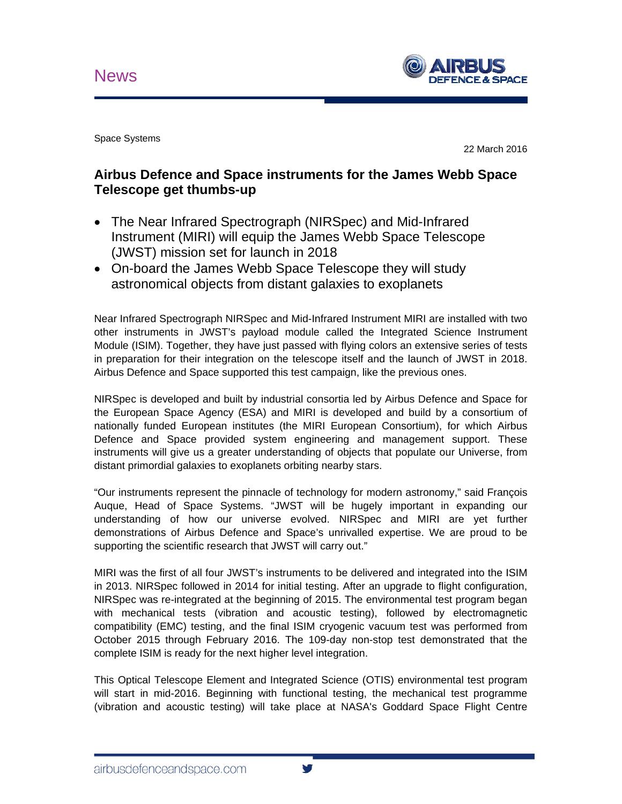

Space Systems

22 March 2016

## **Airbus Defence and Space instruments for the James Webb Space Telescope get thumbs-up**

- The Near Infrared Spectrograph (NIRSpec) and Mid-Infrared Instrument (MIRI) will equip the James Webb Space Telescope (JWST) mission set for launch in 2018
- On-board the James Webb Space Telescope they will study astronomical objects from distant galaxies to exoplanets

Near Infrared Spectrograph NIRSpec and Mid-Infrared Instrument MIRI are installed with two other instruments in JWST's payload module called the Integrated Science Instrument Module (ISIM). Together, they have just passed with flying colors an extensive series of tests in preparation for their integration on the telescope itself and the launch of JWST in 2018. Airbus Defence and Space supported this test campaign, like the previous ones.

NIRSpec is developed and built by industrial consortia led by Airbus Defence and Space for the European Space Agency (ESA) and MIRI is developed and build by a consortium of nationally funded European institutes (the MIRI European Consortium), for which Airbus Defence and Space provided system engineering and management support. These instruments will give us a greater understanding of objects that populate our Universe, from distant primordial galaxies to exoplanets orbiting nearby stars.

"Our instruments represent the pinnacle of technology for modern astronomy," said François Auque, Head of Space Systems. "JWST will be hugely important in expanding our understanding of how our universe evolved. NIRSpec and MIRI are yet further demonstrations of Airbus Defence and Space's unrivalled expertise. We are proud to be supporting the scientific research that JWST will carry out."

MIRI was the first of all four JWST's instruments to be delivered and integrated into the ISIM in 2013. NIRSpec followed in 2014 for initial testing. After an upgrade to flight configuration, NIRSpec was re-integrated at the beginning of 2015. The environmental test program began with mechanical tests (vibration and acoustic testing), followed by electromagnetic compatibility (EMC) testing, and the final ISIM cryogenic vacuum test was performed from October 2015 through February 2016. The 109-day non-stop test demonstrated that the complete ISIM is ready for the next higher level integration.

This Optical Telescope Element and Integrated Science (OTIS) environmental test program will start in mid-2016. Beginning with functional testing, the mechanical test programme (vibration and acoustic testing) will take place at NASA's Goddard Space Flight Centre